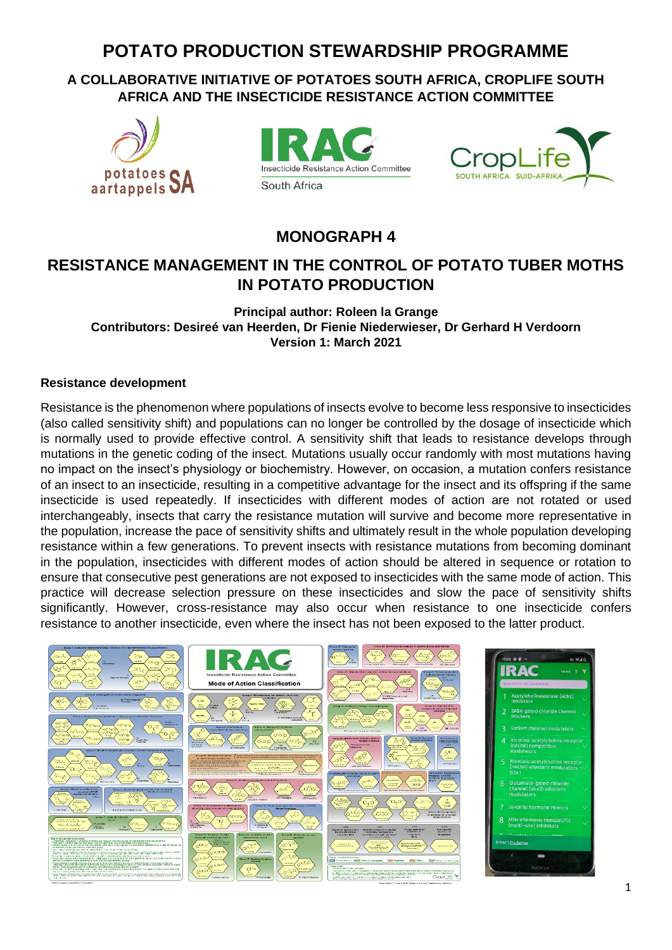# **POTATO PRODUCTION STEWARDSHIP PROGRAMME**

**A COLLABORATIVE INITIATIVE OF POTATOES SOUTH AFRICA, CROPLIFE SOUTH AFRICA AND THE INSECTICIDE RESISTANCE ACTION COMMITTEE** 







**MONOGRAPH 4**

## **RESISTANCE MANAGEMENT IN THE CONTROL OF POTATO TUBER MOTHS IN POTATO PRODUCTION**

**Principal author: Roleen la Grange Contributors: Desireé van Heerden, Dr Fienie Niederwieser, Dr Gerhard H Verdoorn Version 1: March 2021**

#### **Resistance development**

Resistance is the phenomenon where populations of insects evolve to become less responsive to insecticides (also called sensitivity shift) and populations can no longer be controlled by the dosage of insecticide which is normally used to provide effective control. A sensitivity shift that leads to resistance develops through mutations in the genetic coding of the insect. Mutations usually occur randomly with most mutations having no impact on the insect's physiology or biochemistry. However, on occasion, a mutation confers resistance of an insect to an insecticide, resulting in a competitive advantage for the insect and its offspring if the same insecticide is used repeatedly. If insecticides with different modes of action are not rotated or used interchangeably, insects that carry the resistance mutation will survive and become more representative in the population, increase the pace of sensitivity shifts and ultimately result in the whole population developing resistance within a few generations. To prevent insects with resistance mutations from becoming dominant in the population, insecticides with different modes of action should be altered in sequence or rotation to ensure that consecutive pest generations are not exposed to insecticides with the same mode of action. This practice will decrease selection pressure on these insecticides and slow the pace of sensitivity shifts significantly. However, cross-resistance may also occur when resistance to one insecticide confers resistance to another insecticide, even where the insect has not been exposed to the latter product.

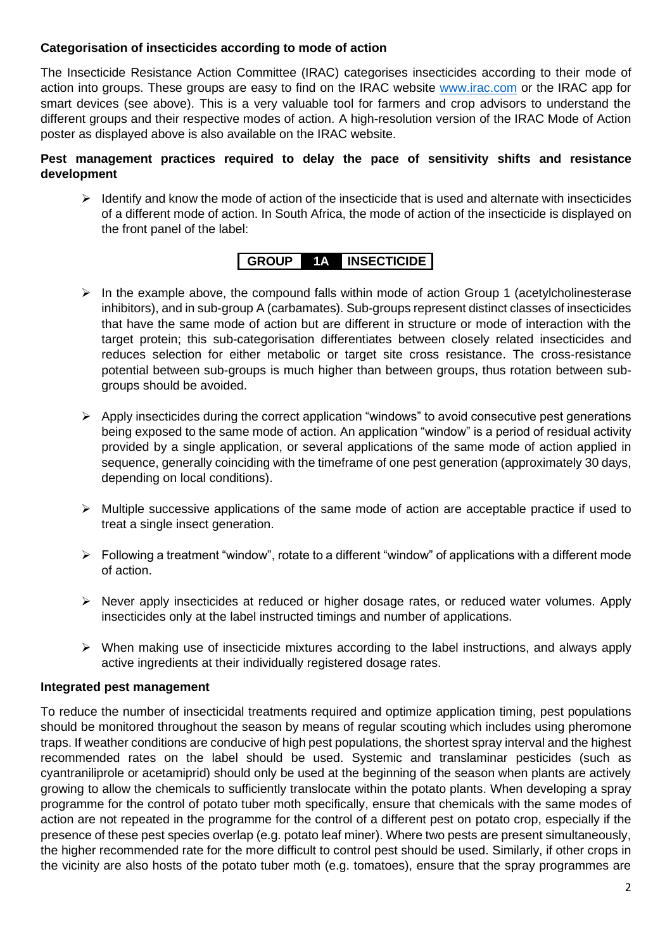#### **Categorisation of insecticides according to mode of action**

The Insecticide Resistance Action Committee (IRAC) categorises insecticides according to their mode of action into groups. These groups are easy to find on the IRAC website [www.irac.com](http://www.irac.com/) or the IRAC app for smart devices (see above). This is a very valuable tool for farmers and crop advisors to understand the different groups and their respective modes of action. A high-resolution version of the IRAC Mode of Action poster as displayed above is also available on the IRAC website.

#### **Pest management practices required to delay the pace of sensitivity shifts and resistance development**

 $\triangleright$  Identify and know the mode of action of the insecticide that is used and alternate with insecticides of a different mode of action. In South Africa, the mode of action of the insecticide is displayed on the front panel of the label:

### **GROUP 1A INSECTICIDE**

- $\triangleright$  In the example above, the compound falls within mode of action Group 1 (acetylcholinesterase inhibitors), and in sub-group A (carbamates). Sub-groups represent distinct classes of insecticides that have the same mode of action but are different in structure or mode of interaction with the target protein; this sub-categorisation differentiates between closely related insecticides and reduces selection for either metabolic or target site cross resistance. The cross-resistance potential between sub-groups is much higher than between groups, thus rotation between subgroups should be avoided.
- $\triangleright$  Apply insecticides during the correct application "windows" to avoid consecutive pest generations being exposed to the same mode of action. An application "window" is a period of residual activity provided by a single application, or several applications of the same mode of action applied in sequence, generally coinciding with the timeframe of one pest generation (approximately 30 days, depending on local conditions).
- ➢ Multiple successive applications of the same mode of action are acceptable practice if used to treat a single insect generation.
- ➢ Following a treatment "window", rotate to a different "window" of applications with a different mode of action.
- ➢ Never apply insecticides at reduced or higher dosage rates, or reduced water volumes. Apply insecticides only at the label instructed timings and number of applications.
- ➢ When making use of insecticide mixtures according to the label instructions, and always apply active ingredients at their individually registered dosage rates.

#### **Integrated pest management**

To reduce the number of insecticidal treatments required and optimize application timing, pest populations should be monitored throughout the season by means of regular scouting which includes using pheromone traps. If weather conditions are conducive of high pest populations, the shortest spray interval and the highest recommended rates on the label should be used. Systemic and translaminar pesticides (such as cyantraniliprole or acetamiprid) should only be used at the beginning of the season when plants are actively growing to allow the chemicals to sufficiently translocate within the potato plants. When developing a spray programme for the control of potato tuber moth specifically, ensure that chemicals with the same modes of action are not repeated in the programme for the control of a different pest on potato crop, especially if the presence of these pest species overlap (e.g. potato leaf miner). Where two pests are present simultaneously, the higher recommended rate for the more difficult to control pest should be used. Similarly, if other crops in the vicinity are also hosts of the potato tuber moth (e.g. tomatoes), ensure that the spray programmes are